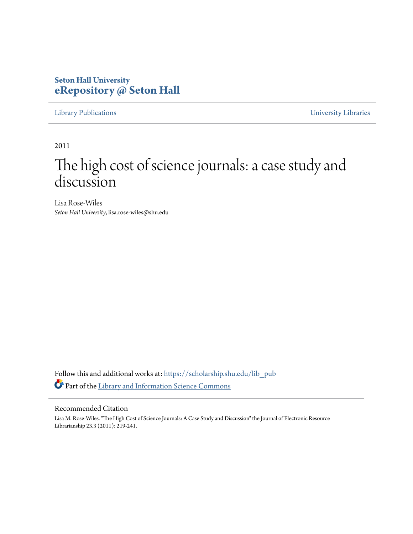# **Seton Hall University [eRepository @ Seton Hall](https://scholarship.shu.edu?utm_source=scholarship.shu.edu%2Flib_pub%2F17&utm_medium=PDF&utm_campaign=PDFCoverPages)**

[Library Publications](https://scholarship.shu.edu/lib_pub?utm_source=scholarship.shu.edu%2Flib_pub%2F17&utm_medium=PDF&utm_campaign=PDFCoverPages) [University Libraries](https://scholarship.shu.edu/libraries?utm_source=scholarship.shu.edu%2Flib_pub%2F17&utm_medium=PDF&utm_campaign=PDFCoverPages)

2011

# The high cost of science journals: a case study and discussion

Lisa Rose-Wiles *Seton Hall University*, lisa.rose-wiles@shu.edu

Follow this and additional works at: [https://scholarship.shu.edu/lib\\_pub](https://scholarship.shu.edu/lib_pub?utm_source=scholarship.shu.edu%2Flib_pub%2F17&utm_medium=PDF&utm_campaign=PDFCoverPages) Part of the [Library and Information Science Commons](http://network.bepress.com/hgg/discipline/1018?utm_source=scholarship.shu.edu%2Flib_pub%2F17&utm_medium=PDF&utm_campaign=PDFCoverPages)

## Recommended Citation

Lisa M. Rose-Wiles. "The High Cost of Science Journals: A Case Study and Discussion" the Journal of Electronic Resource Librarianship 23.3 (2011): 219-241.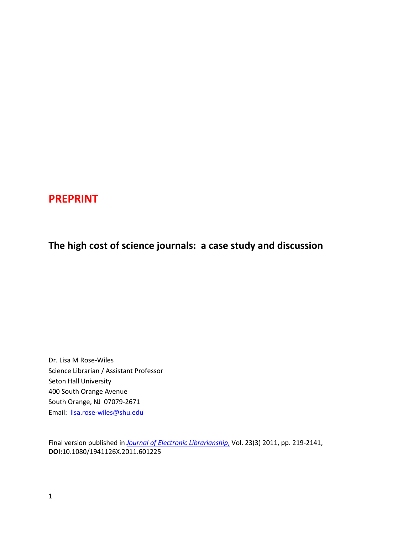# **PREPRINT**

# **The high cost of science journals: a case study and discussion**

Dr. Lisa M Rose-Wiles Science Librarian / Assistant Professor Seton Hall University 400 South Orange Avenue South Orange, NJ 07079-2671 Email: [lisa.rose-wiles@shu.edu](mailto:lisa.rose-wiles@shu.edu)

Final version published in *[Journal of Electronic Librarianship](http://www.tandfonline.com/action/aboutThisJournal?journalCode=wacq20)*, Vol. 23(3) 2011, pp. 219-2141, **DOI:**10.1080/1941126X.2011.601225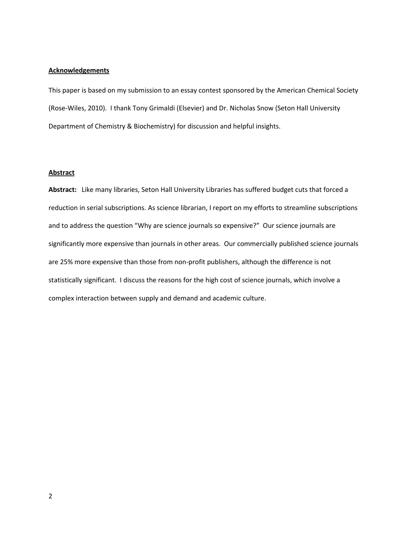#### **Acknowledgements**

This paper is based on my submission to an essay contest sponsored by the American Chemical Society (Rose-Wiles, 2010). I thank Tony Grimaldi (Elsevier) and Dr. Nicholas Snow (Seton Hall University Department of Chemistry & Biochemistry) for discussion and helpful insights.

#### **Abstract**

**Abstract:** Like many libraries, Seton Hall University Libraries has suffered budget cuts that forced a reduction in serial subscriptions. As science librarian, I report on my efforts to streamline subscriptions and to address the question "Why are science journals so expensive?" Our science journals are significantly more expensive than journals in other areas. Our commercially published science journals are 25% more expensive than those from non-profit publishers, although the difference is not statistically significant. I discuss the reasons for the high cost of science journals, which involve a complex interaction between supply and demand and academic culture.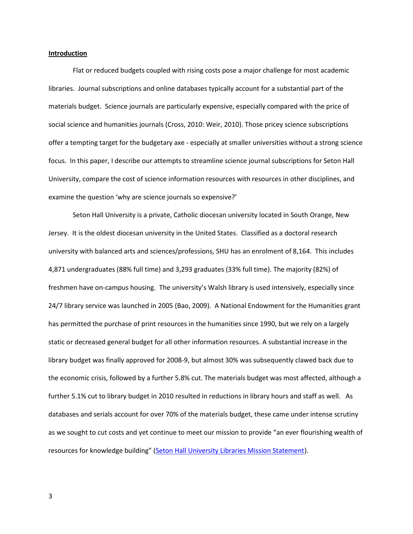#### **Introduction**

Flat or reduced budgets coupled with rising costs pose a major challenge for most academic libraries. Journal subscriptions and online databases typically account for a substantial part of the materials budget. Science journals are particularly expensive, especially compared with the price of social science and humanities journals (Cross, 2010: Weir, 2010). Those pricey science subscriptions offer a tempting target for the budgetary axe - especially at smaller universities without a strong science focus. In this paper, I describe our attempts to streamline science journal subscriptions for Seton Hall University, compare the cost of science information resources with resources in other disciplines, and examine the question 'why are science journals so expensive?'

Seton Hall University is a private, Catholic diocesan university located in South Orange, New Jersey. It is the oldest diocesan university in the United States. Classified as a doctoral research university with balanced arts and sciences/professions, SHU has an enrolment of 8,164. This includes 4,871 undergraduates (88% full time) and 3,293 graduates (33% full time). The majority (82%) of freshmen have on-campus housing. The university's Walsh library is used intensively, especially since 24/7 library service was launched in 2005 (Bao, 2009). A National Endowment for the Humanities grant has permitted the purchase of print resources in the humanities since 1990, but we rely on a largely static or decreased general budget for all other information resources. A substantial increase in the library budget was finally approved for 2008-9, but almost 30% was subsequently clawed back due to the economic crisis, followed by a further 5.8% cut. The materials budget was most affected, although a further 5.1% cut to library budget in 2010 resulted in reductions in library hours and staff as well. As databases and serials account for over 70% of the materials budget, these came under intense scrutiny as we sought to cut costs and yet continue to meet our mission to provide "an ever flourishing wealth of resources for knowledge building" (Seton Hall University Libraries [Mission Statement\)](http://www.shu.edu/academics/libraries/mission.cfm).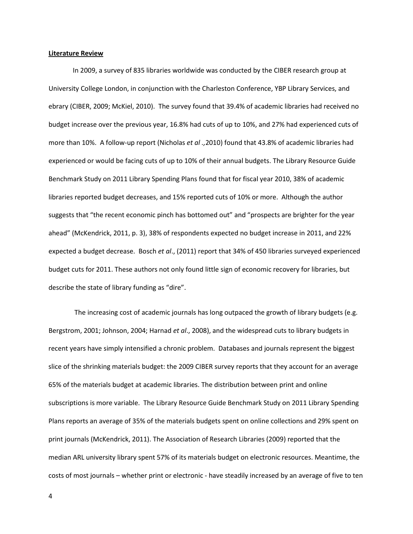#### **Literature Review**

In 2009, a survey of 835 libraries worldwide was conducted by the CIBER research group at University College London, in conjunction with the Charleston Conference, YBP Library Services, and ebrary (CIBER, 2009; McKiel, 2010). The survey found that 39.4% of academic libraries had received no budget increase over the previous year, 16.8% had cuts of up to 10%, and 27% had experienced cuts of more than 10%. A follow-up report (Nicholas *et al .,*2010) found that 43.8% of academic libraries had experienced or would be facing cuts of up to 10% of their annual budgets. The Library Resource Guide Benchmark Study on 2011 Library Spending Plans found that for fiscal year 2010, 38% of academic libraries reported budget decreases, and 15% reported cuts of 10% or more. Although the author suggests that "the recent economic pinch has bottomed out" and "prospects are brighter for the year ahead" (McKendrick, 2011, p. 3), 38% of respondents expected no budget increase in 2011, and 22% expected a budget decrease. Bosch *et al*., (2011) report that 34% of 450 libraries surveyed experienced budget cuts for 2011. These authors not only found little sign of economic recovery for libraries, but describe the state of library funding as "dire".

The increasing cost of academic journals has long outpaced the growth of library budgets (e.g. Bergstrom, 2001; Johnson, 2004; Harnad *et al*., 2008), and the widespread cuts to library budgets in recent years have simply intensified a chronic problem. Databases and journals represent the biggest slice of the shrinking materials budget: the 2009 CIBER survey reports that they account for an average 65% of the materials budget at academic libraries. The distribution between print and online subscriptions is more variable. The Library Resource Guide Benchmark Study on 2011 Library Spending Plans reports an average of 35% of the materials budgets spent on online collections and 29% spent on print journals (McKendrick, 2011). The Association of Research Libraries (2009) reported that the median ARL university library spent 57% of its materials budget on electronic resources. Meantime, the costs of most journals – whether print or electronic - have steadily increased by an average of five to ten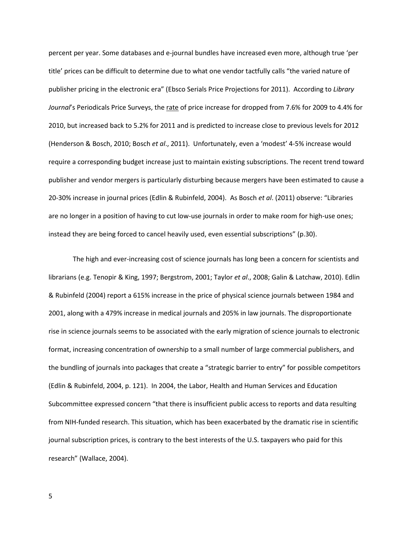percent per year. Some databases and e-journal bundles have increased even more, although true 'per title' prices can be difficult to determine due to what one vendor tactfully calls "the varied nature of publisher pricing in the electronic era" (Ebsco Serials Price Projections for 2011). According to *Library*  Journal's Periodicals Price Surveys, the rate of price increase for dropped from 7.6% for 2009 to 4.4% for 2010, but increased back to 5.2% for 2011 and is predicted to increase close to previous levels for 2012 (Henderson & Bosch, 2010; Bosch *et al*., 2011). Unfortunately, even a 'modest' 4-5% increase would require a corresponding budget increase just to maintain existing subscriptions. The recent trend toward publisher and vendor mergers is particularly disturbing because mergers have been estimated to cause a 20-30% increase in journal prices (Edlin & Rubinfeld, 2004). As Bosch *et al*. (2011) observe: "Libraries are no longer in a position of having to cut low-use journals in order to make room for high-use ones; instead they are being forced to cancel heavily used, even essential subscriptions" (p.30).

The high and ever-increasing cost of science journals has long been a concern for scientists and librarians (e.g. Tenopir & King, 1997; Bergstrom, 2001; Taylor *et al*., 2008; Galin & Latchaw, 2010). Edlin & Rubinfeld (2004) report a 615% increase in the price of physical science journals between 1984 and 2001, along with a 479% increase in medical journals and 205% in law journals. The disproportionate rise in science journals seems to be associated with the early migration of science journals to electronic format, increasing concentration of ownership to a small number of large commercial publishers, and the bundling of journals into packages that create a "strategic barrier to entry" for possible competitors (Edlin & Rubinfeld, 2004, p. 121). In 2004, the Labor, Health and Human Services and Education Subcommittee expressed concern "that there is insufficient public access to reports and data resulting from NIH-funded research. This situation, which has been exacerbated by the dramatic rise in scientific journal subscription prices, is contrary to the best interests of the U.S. taxpayers who paid for this research" (Wallace, 2004).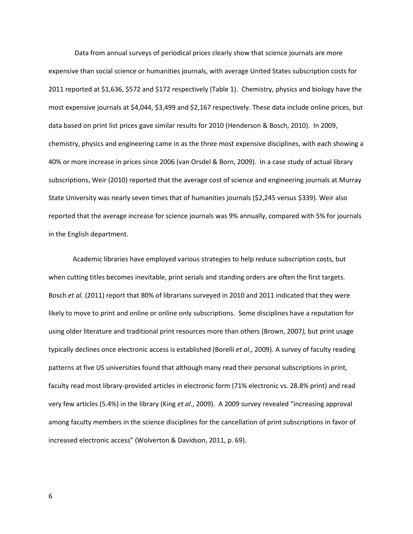Data from annual surveys of periodical prices clearly show that science journals are more expensive than social science or humanities journals, with average United States subscription costs for 2011 reported at \$1,636, \$572 and \$172 respectively (Table 1). Chemistry, physics and biology have the most expensive journals at \$4,044, \$3,499 and \$2,167 respectively. These data include online prices, but data based on print list prices gave similar results for 2010 (Henderson & Bosch, 2010). In 2009, chemistry, physics and engineering came in as the three most expensive disciplines, with each showing a 40% or more increase in prices since 2006 (van Orsdel & Born, 2009). In a case study of actual library subscriptions, Weir (2010) reported that the average cost of science and engineering journals at Murray State University was nearly seven times that of humanities journals (\$2,245 versus \$339). Weir also reported that the average increase for science journals was 9% annually, compared with 5% for journals in the English department.

Academic libraries have employed various strategies to help reduce subscription costs, but when cutting titles becomes inevitable, print serials and standing orders are often the first targets. Bosch *et al.* (2011) report that 80% of librarians surveyed in 2010 and 2011 indicated that they were likely to move to print and online or online only subscriptions. Some disciplines have a reputation for using older literature and traditional print resources more than others (Brown, 2007*),* but print usage typically declines once electronic access is established (Borelli *et al.,* 2009)*.* A survey of faculty reading patterns at five US universities found that although many read their personal subscriptions in print, faculty read most library-provided articles in electronic form (71% electronic vs. 28.8% print) and read very few articles (5.4%) in the library (King *et al*., 2009). A 2009 survey revealed "increasing approval among faculty members in the science disciplines for the cancellation of print subscriptions in favor of increased electronic access" (Wolverton & Davidson, 2011, p. 69).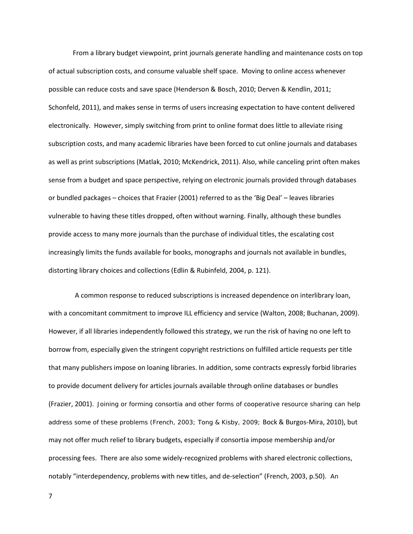From a library budget viewpoint, print journals generate handling and maintenance costs on top of actual subscription costs, and consume valuable shelf space. Moving to online access whenever possible can reduce costs and save space (Henderson & Bosch, 2010; Derven & Kendlin, 2011; Schonfeld, 2011), and makes sense in terms of users increasing expectation to have content delivered electronically. However, simply switching from print to online format does little to alleviate rising subscription costs, and many academic libraries have been forced to cut online journals and databases as well as print subscriptions (Matlak, 2010; McKendrick, 2011). Also, while canceling print often makes sense from a budget and space perspective, relying on electronic journals provided through databases or bundled packages – choices that Frazier (2001) referred to as the 'Big Deal' – leaves libraries vulnerable to having these titles dropped, often without warning. Finally, although these bundles provide access to many more journals than the purchase of individual titles, the escalating cost increasingly limits the funds available for books, monographs and journals not available in bundles, distorting library choices and collections (Edlin & Rubinfeld, 2004, p. 121).

A common response to reduced subscriptions is increased dependence on interlibrary loan, with a concomitant commitment to improve ILL efficiency and service (Walton, 2008; Buchanan, 2009). However, if all libraries independently followed this strategy, we run the risk of having no one left to borrow from, especially given the stringent copyright restrictions on fulfilled article requests per title that many publishers impose on loaning libraries. In addition, some contracts expressly forbid libraries to provide document delivery for articles journals available through online databases or bundles (Frazier, 2001). Joining or forming consortia and other forms of cooperative resource sharing can help address some of these problems (French, 2003; Tong & Kisby, 2009; Bock & Burgos-Mira, 2010), but may not offer much relief to library budgets, especially if consortia impose membership and/or processing fees. There are also some widely-recognized problems with shared electronic collections, notably "interdependency, problems with new titles, and de-selection" (French, 2003, p.50). An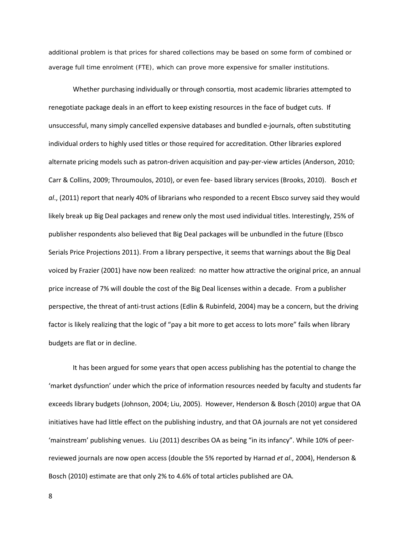additional problem is that prices for shared collections may be based on some form of combined or average full time enrolment (FTE), which can prove more expensive for smaller institutions.

Whether purchasing individually or through consortia, most academic libraries attempted to renegotiate package deals in an effort to keep existing resources in the face of budget cuts. If unsuccessful, many simply cancelled expensive databases and bundled e-journals, often substituting individual orders to highly used titles or those required for accreditation. Other libraries explored alternate pricing models such as patron-driven acquisition and pay-per-view articles (Anderson, 2010; Carr & Collins, 2009; Throumoulos, 2010), or even fee- based library services (Brooks, 2010). Bosch *et al*., (2011) report that nearly 40% of librarians who responded to a recent Ebsco survey said they would likely break up Big Deal packages and renew only the most used individual titles. Interestingly, 25% of publisher respondents also believed that Big Deal packages will be unbundled in the future (Ebsco Serials Price Projections 2011). From a library perspective, it seems that warnings about the Big Deal voiced by Frazier (2001) have now been realized: no matter how attractive the original price, an annual price increase of 7% will double the cost of the Big Deal licenses within a decade. From a publisher perspective, the threat of anti-trust actions (Edlin & Rubinfeld, 2004) may be a concern, but the driving factor is likely realizing that the logic of "pay a bit more to get access to lots more" fails when library budgets are flat or in decline.

It has been argued for some years that open access publishing has the potential to change the 'market dysfunction' under which the price of information resources needed by faculty and students far exceeds library budgets (Johnson, 2004; Liu, 2005). However, Henderson & Bosch (2010) argue that OA initiatives have had little effect on the publishing industry, and that OA journals are not yet considered 'mainstream' publishing venues. Liu (2011) describes OA as being "in its infancy". While 10% of peerreviewed journals are now open access (double the 5% reported by Harnad *et al*., 2004), Henderson & Bosch (2010) estimate are that only 2% to 4.6% of total articles published are OA.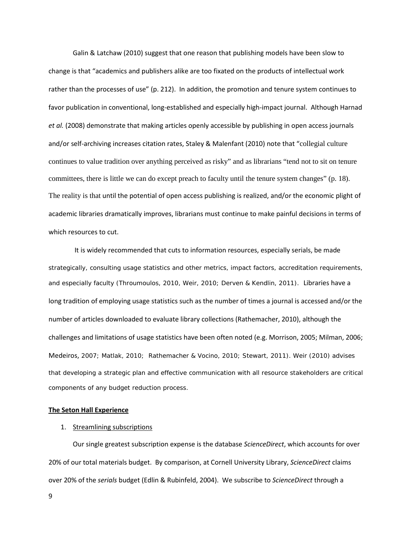Galin & Latchaw (2010) suggest that one reason that publishing models have been slow to change is that "academics and publishers alike are too fixated on the products of intellectual work rather than the processes of use" (p. 212). In addition, the promotion and tenure system continues to favor publication in conventional, long-established and especially high-impact journal. Although Harnad *et al.* (2008) demonstrate that making articles openly accessible by publishing in open access journals and/or self-archiving increases citation rates, Staley & Malenfant (2010) note that "collegial culture continues to value tradition over anything perceived as risky" and as librarians "tend not to sit on tenure committees, there is little we can do except preach to faculty until the tenure system changes" (p. 18). The reality is that until the potential of open access publishing is realized, and/or the economic plight of academic libraries dramatically improves, librarians must continue to make painful decisions in terms of which resources to cut.

It is widely recommended that cuts to information resources, especially serials, be made strategically, consulting usage statistics and other metrics, impact factors, accreditation requirements, and especially faculty (Throumoulos, 2010, Weir, 2010; Derven & Kendlin, 2011). Libraries have a long tradition of employing usage statistics such as the number of times a journal is accessed and/or the number of articles downloaded to evaluate library collections (Rathemacher, 2010), although the challenges and limitations of usage statistics have been often noted (e.g. Morrison, 2005; Milman, 2006; Medeiros, 2007; Matlak, 2010; Rathemacher & Vocino, 2010; Stewart, 2011). Weir (2010) advises that developing a strategic plan and effective communication with all resource stakeholders are critical components of any budget reduction process.

#### **The Seton Hall Experience**

#### 1. Streamlining subscriptions

Our single greatest subscription expense is the database *ScienceDirect*, which accounts for over 20% of our total materials budget. By comparison, at Cornell University Library, *ScienceDirect* claims over 20% of the *serials* budget (Edlin & Rubinfeld, 2004). We subscribe to *ScienceDirect* through a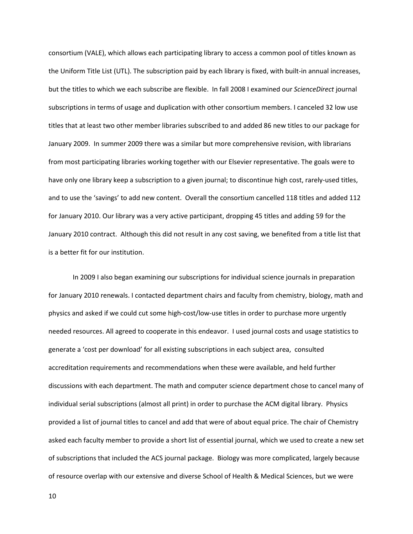consortium (VALE), which allows each participating library to access a common pool of titles known as the Uniform Title List (UTL). The subscription paid by each library is fixed, with built-in annual increases, but the titles to which we each subscribe are flexible. In fall 2008 I examined our *ScienceDirect* journal subscriptions in terms of usage and duplication with other consortium members. I canceled 32 low use titles that at least two other member libraries subscribed to and added 86 new titles to our package for January 2009. In summer 2009 there was a similar but more comprehensive revision, with librarians from most participating libraries working together with our Elsevier representative. The goals were to have only one library keep a subscription to a given journal; to discontinue high cost, rarely-used titles, and to use the 'savings' to add new content. Overall the consortium cancelled 118 titles and added 112 for January 2010. Our library was a very active participant, dropping 45 titles and adding 59 for the January 2010 contract. Although this did not result in any cost saving, we benefited from a title list that is a better fit for our institution.

In 2009 I also began examining our subscriptions for individual science journals in preparation for January 2010 renewals. I contacted department chairs and faculty from chemistry, biology, math and physics and asked if we could cut some high-cost/low-use titles in order to purchase more urgently needed resources. All agreed to cooperate in this endeavor. I used journal costs and usage statistics to generate a 'cost per download' for all existing subscriptions in each subject area, consulted accreditation requirements and recommendations when these were available, and held further discussions with each department. The math and computer science department chose to cancel many of individual serial subscriptions (almost all print) in order to purchase the ACM digital library. Physics provided a list of journal titles to cancel and add that were of about equal price. The chair of Chemistry asked each faculty member to provide a short list of essential journal, which we used to create a new set of subscriptions that included the ACS journal package. Biology was more complicated, largely because of resource overlap with our extensive and diverse School of Health & Medical Sciences, but we were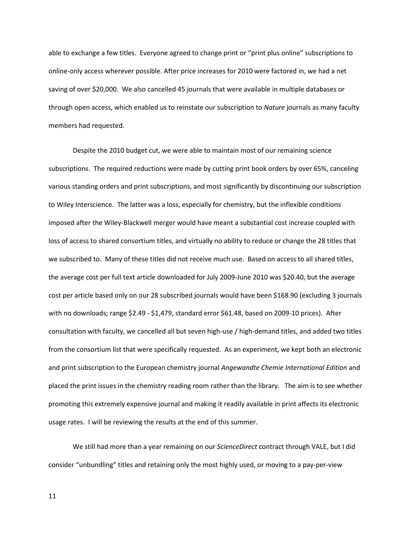able to exchange a few titles. Everyone agreed to change print or "print plus online" subscriptions to online-only access wherever possible. After price increases for 2010 were factored in, we had a net saving of over \$20,000. We also cancelled 45 journals that were available in multiple databases or through open access, which enabled us to reinstate our subscription to *Nature* journals as many faculty members had requested.

Despite the 2010 budget cut, we were able to maintain most of our remaining science subscriptions. The required reductions were made by cutting print book orders by over 65%, canceling various standing orders and print subscriptions, and most significantly by discontinuing our subscription to Wiley Interscience. The latter was a loss, especially for chemistry, but the inflexible conditions imposed after the Wiley-Blackwell merger would have meant a substantial cost increase coupled with loss of access to shared consortium titles, and virtually no ability to reduce or change the 28 titles that we subscribed to. Many of these titles did not receive much use. Based on access to all shared titles, the average cost per full text article downloaded for July 2009-June 2010 was \$20.40, but the average cost per article based only on our 28 subscribed journals would have been \$168.90 (excluding 3 journals with no downloads; range \$2.49 - \$1,479, standard error \$61.48, based on 2009-10 prices). After consultation with faculty, we cancelled all but seven high-use / high-demand titles, and added two titles from the consortium list that were specifically requested. As an experiment, we kept both an electronic and print subscription to the European chemistry journal *Angewandte Chemie International Edition* and placed the print issues in the chemistry reading room rather than the library. The aim is to see whether promoting this extremely expensive journal and making it readily available in print affects its electronic usage rates. I will be reviewing the results at the end of this summer.

We still had more than a year remaining on our *ScienceDirect* contract through VALE, but I did consider "unbundling" titles and retaining only the most highly used, or moving to a pay-per-view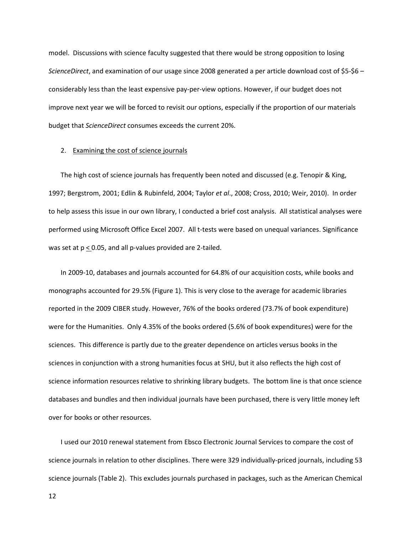model. Discussions with science faculty suggested that there would be strong opposition to losing *ScienceDirect*, and examination of our usage since 2008 generated a per article download cost of \$5-\$6 – considerably less than the least expensive pay-per-view options. However, if our budget does not improve next year we will be forced to revisit our options, especially if the proportion of our materials budget that *ScienceDirect* consumes exceeds the current 20%.

#### 2. Examining the cost of science journals

The high cost of science journals has frequently been noted and discussed (e.g. Tenopir & King, 1997; Bergstrom, 2001; Edlin & Rubinfeld, 2004; Taylor *et al*., 2008; Cross, 2010; Weir, 2010). In order to help assess this issue in our own library, I conducted a brief cost analysis. All statistical analyses were performed using Microsoft Office Excel 2007. All t-tests were based on unequal variances. Significance was set at  $p \le 0.05$ , and all p-values provided are 2-tailed.

In 2009-10, databases and journals accounted for 64.8% of our acquisition costs, while books and monographs accounted for 29.5% (Figure 1). This is very close to the average for academic libraries reported in the 2009 CIBER study. However, 76% of the books ordered (73.7% of book expenditure) were for the Humanities. Only 4.35% of the books ordered (5.6% of book expenditures) were for the sciences. This difference is partly due to the greater dependence on articles versus books in the sciences in conjunction with a strong humanities focus at SHU, but it also reflects the high cost of science information resources relative to shrinking library budgets. The bottom line is that once science databases and bundles and then individual journals have been purchased, there is very little money left over for books or other resources.

I used our 2010 renewal statement from Ebsco Electronic Journal Services to compare the cost of science journals in relation to other disciplines. There were 329 individually-priced journals, including 53 science journals (Table 2). This excludes journals purchased in packages, such as the American Chemical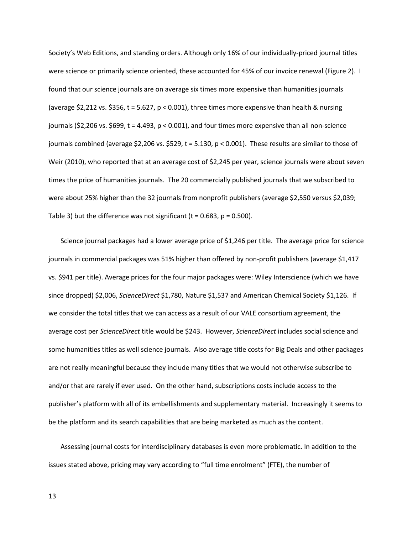Society's Web Editions, and standing orders. Although only 16% of our individually-priced journal titles were science or primarily science oriented, these accounted for 45% of our invoice renewal (Figure 2). I found that our science journals are on average six times more expensive than humanities journals (average \$2,212 vs. \$356,  $t = 5.627$ ,  $p < 0.001$ ), three times more expensive than health & nursing journals (\$2,206 vs. \$699,  $t = 4.493$ ,  $p < 0.001$ ), and four times more expensive than all non-science journals combined (average \$2,206 vs. \$529,  $t = 5.130$ ,  $p < 0.001$ ). These results are similar to those of Weir (2010), who reported that at an average cost of \$2,245 per year, science journals were about seven times the price of humanities journals. The 20 commercially published journals that we subscribed to were about 25% higher than the 32 journals from nonprofit publishers (average \$2,550 versus \$2,039; Table 3) but the difference was not significant ( $t = 0.683$ ,  $p = 0.500$ ).

Science journal packages had a lower average price of \$1,246 per title. The average price for science journals in commercial packages was 51% higher than offered by non-profit publishers (average \$1,417 vs. \$941 per title). Average prices for the four major packages were: Wiley Interscience (which we have since dropped) \$2,006, *ScienceDirect* \$1,780, Nature \$1,537 and American Chemical Society \$1,126. If we consider the total titles that we can access as a result of our VALE consortium agreement, the average cost per *ScienceDirect* title would be \$243. However, *ScienceDirect* includes social science and some humanities titles as well science journals. Also average title costs for Big Deals and other packages are not really meaningful because they include many titles that we would not otherwise subscribe to and/or that are rarely if ever used. On the other hand, subscriptions costs include access to the publisher's platform with all of its embellishments and supplementary material. Increasingly it seems to be the platform and its search capabilities that are being marketed as much as the content.

Assessing journal costs for interdisciplinary databases is even more problematic. In addition to the issues stated above, pricing may vary according to "full time enrolment" (FTE), the number of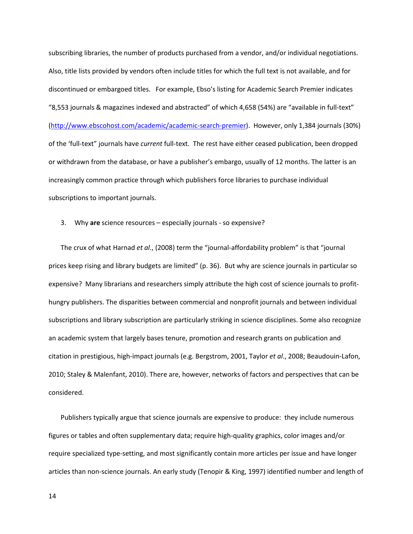subscribing libraries, the number of products purchased from a vendor, and/or individual negotiations. Also, title lists provided by vendors often include titles for which the full text is not available, and for discontinued or embargoed titles. For example, Ebso's listing for Academic Search Premier indicates "8,553 journals & magazines indexed and abstracted" of which 4,658 (54%) are "available in full-text" [\(http://www.ebscohost.com/academic/academic-search-premier\)](http://www.ebscohost.com/academic/academic-search-premier). However, only 1,384 journals (30%) of the 'full-text" journals have *current* full-text. The rest have either ceased publication, been dropped or withdrawn from the database, or have a publisher's embargo, usually of 12 months. The latter is an increasingly common practice through which publishers force libraries to purchase individual subscriptions to important journals.

#### 3. Why **are** science resources – especially journals - so expensive?

The crux of what Harnad *et al*., (2008) term the "journal-affordability problem" is that "journal prices keep rising and library budgets are limited" (p. 36). But why are science journals in particular so expensive? Many librarians and researchers simply attribute the high cost of science journals to profithungry publishers. The disparities between commercial and nonprofit journals and between individual subscriptions and library subscription are particularly striking in science disciplines. Some also recognize an academic system that largely bases tenure, promotion and research grants on publication and citation in prestigious, high-impact journals (e.g. Bergstrom, 2001, Taylor *et al*., 2008; Beaudouin-Lafon, 2010; Staley & Malenfant, 2010). There are, however, networks of factors and perspectives that can be considered.

Publishers typically argue that science journals are expensive to produce: they include numerous figures or tables and often supplementary data; require high-quality graphics, color images and/or require specialized type-setting, and most significantly contain more articles per issue and have longer articles than non-science journals. An early study (Tenopir & King, 1997) identified number and length of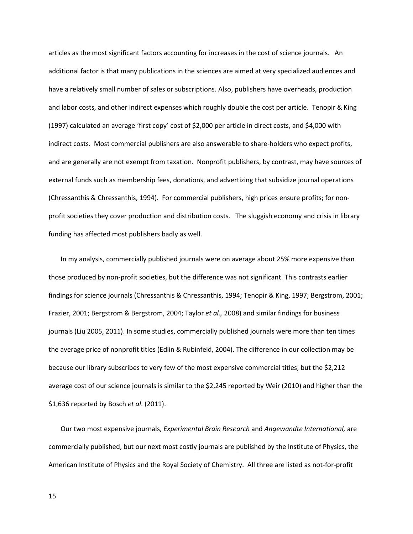articles as the most significant factors accounting for increases in the cost of science journals. An additional factor is that many publications in the sciences are aimed at very specialized audiences and have a relatively small number of sales or subscriptions. Also, publishers have overheads, production and labor costs, and other indirect expenses which roughly double the cost per article. Tenopir & King (1997) calculated an average 'first copy' cost of \$2,000 per article in direct costs, and \$4,000 with indirect costs. Most commercial publishers are also answerable to share-holders who expect profits, and are generally are not exempt from taxation. Nonprofit publishers, by contrast, may have sources of external funds such as membership fees, donations, and advertizing that subsidize journal operations (Chressanthis & Chressanthis, 1994). For commercial publishers, high prices ensure profits; for nonprofit societies they cover production and distribution costs. The sluggish economy and crisis in library funding has affected most publishers badly as well.

In my analysis, commercially published journals were on average about 25% more expensive than those produced by non-profit societies, but the difference was not significant. This contrasts earlier findings for science journals (Chressanthis & Chressanthis, 1994; Tenopir & King, 1997; Bergstrom, 2001; Frazier, 2001; Bergstrom & Bergstrom, 2004; Taylor *et al.,* 2008) and similar findings for business journals (Liu 2005, 2011). In some studies, commercially published journals were more than ten times the average price of nonprofit titles (Edlin & Rubinfeld, 2004). The difference in our collection may be because our library subscribes to very few of the most expensive commercial titles, but the \$2,212 average cost of our science journals is similar to the \$2,245 reported by Weir (2010) and higher than the \$1,636 reported by Bosch *et al*. (2011).

Our two most expensive journals, *Experimental Brain Research* and *Angewandte International,* are commercially published, but our next most costly journals are published by the Institute of Physics, the American Institute of Physics and the Royal Society of Chemistry. All three are listed as not-for-profit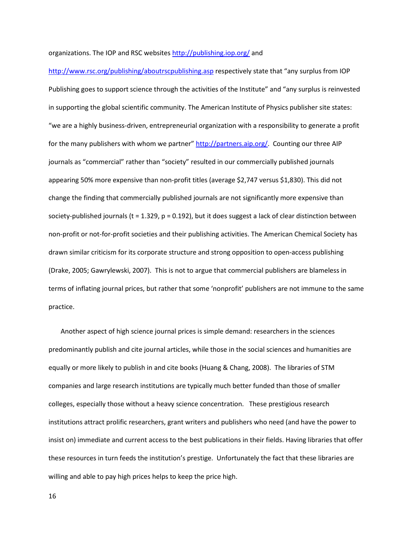#### organizations. The IOP and RSC websites<http://publishing.iop.org/> and

<http://www.rsc.org/publishing/aboutrscpublishing.asp> respectively state that "any surplus from IOP Publishing goes to support science through the activities of the Institute" and "any surplus is reinvested in supporting the global scientific community. The American Institute of Physics publisher site states: "we are a highly business-driven, entrepreneurial organization with a responsibility to generate a profit for the many publishers with whom we partner" [http://partners.aip.org/.](http://partners.aip.org/) Counting our three AIP journals as "commercial" rather than "society" resulted in our commercially published journals appearing 50% more expensive than non-profit titles (average \$2,747 versus \$1,830). This did not change the finding that commercially published journals are not significantly more expensive than society-published journals ( $t = 1.329$ ,  $p = 0.192$ ), but it does suggest a lack of clear distinction between non-profit or not-for-profit societies and their publishing activities. The American Chemical Society has drawn similar criticism for its corporate structure and strong opposition to open-access publishing (Drake, 2005; Gawrylewski, 2007). This is not to argue that commercial publishers are blameless in terms of inflating journal prices, but rather that some 'nonprofit' publishers are not immune to the same practice.

Another aspect of high science journal prices is simple demand: researchers in the sciences predominantly publish and cite journal articles, while those in the social sciences and humanities are equally or more likely to publish in and cite books (Huang & Chang, 2008). The libraries of STM companies and large research institutions are typically much better funded than those of smaller colleges, especially those without a heavy science concentration. These prestigious research institutions attract prolific researchers, grant writers and publishers who need (and have the power to insist on) immediate and current access to the best publications in their fields. Having libraries that offer these resources in turn feeds the institution's prestige. Unfortunately the fact that these libraries are willing and able to pay high prices helps to keep the price high.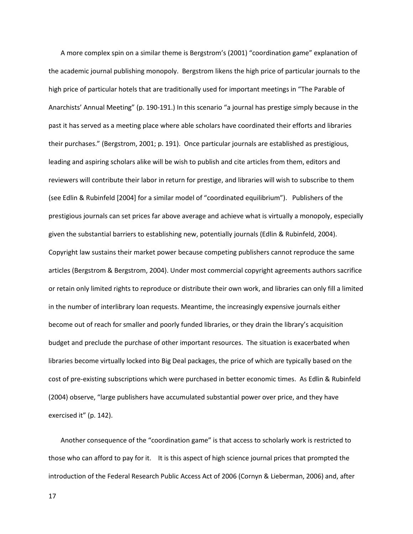A more complex spin on a similar theme is Bergstrom's (2001) "coordination game" explanation of the academic journal publishing monopoly. Bergstrom likens the high price of particular journals to the high price of particular hotels that are traditionally used for important meetings in "The Parable of Anarchists' Annual Meeting" (p. 190-191.) In this scenario "a journal has prestige simply because in the past it has served as a meeting place where able scholars have coordinated their efforts and libraries their purchases." (Bergstrom, 2001; p. 191). Once particular journals are established as prestigious, leading and aspiring scholars alike will be wish to publish and cite articles from them, editors and reviewers will contribute their labor in return for prestige, and libraries will wish to subscribe to them (see Edlin & Rubinfeld [2004] for a similar model of "coordinated equilibrium"). Publishers of the prestigious journals can set prices far above average and achieve what is virtually a monopoly, especially given the substantial barriers to establishing new, potentially journals (Edlin & Rubinfeld, 2004). Copyright law sustains their market power because competing publishers cannot reproduce the same articles (Bergstrom & Bergstrom, 2004). Under most commercial copyright agreements authors sacrifice or retain only limited rights to reproduce or distribute their own work, and libraries can only fill a limited in the number of interlibrary loan requests. Meantime, the increasingly expensive journals either become out of reach for smaller and poorly funded libraries, or they drain the library's acquisition budget and preclude the purchase of other important resources. The situation is exacerbated when libraries become virtually locked into Big Deal packages, the price of which are typically based on the cost of pre-existing subscriptions which were purchased in better economic times. As Edlin & Rubinfeld (2004) observe, "large publishers have accumulated substantial power over price, and they have exercised it" (p. 142).

Another consequence of the "coordination game" is that access to scholarly work is restricted to those who can afford to pay for it. It is this aspect of high science journal prices that prompted the introduction of the Federal Research Public Access Act of 2006 (Cornyn & Lieberman, 2006) and, after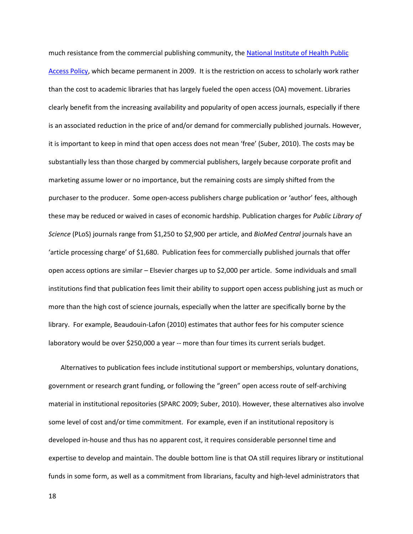much resistance from the commercial publishing community, th[e National Institute of Health Public](http://publicaccess.nih.gov/)  [Access Policy,](http://publicaccess.nih.gov/) which became permanent in 2009. It is the restriction on access to scholarly work rather than the cost to academic libraries that has largely fueled the open access (OA) movement. Libraries clearly benefit from the increasing availability and popularity of open access journals, especially if there is an associated reduction in the price of and/or demand for commercially published journals. However, it is important to keep in mind that open access does not mean 'free' (Suber, 2010). The costs may be substantially less than those charged by commercial publishers, largely because corporate profit and marketing assume lower or no importance, but the remaining costs are simply shifted from the purchaser to the producer. Some open-access publishers charge publication or 'author' fees, although these may be reduced or waived in cases of economic hardship. Publication charges for *Public Library of Science* (PLoS) journals range from \$1,250 to \$2,900 per article, and *BioMed Central* journals have an 'article processing charge' of \$1,680. Publication fees for commercially published journals that offer open access options are similar – Elsevier charges up to \$2,000 per article. Some individuals and small institutions find that publication fees limit their ability to support open access publishing just as much or more than the high cost of science journals, especially when the latter are specifically borne by the library. For example, Beaudouin-Lafon (2010) estimates that author fees for his computer science laboratory would be over \$250,000 a year -- more than four times its current serials budget.

Alternatives to publication fees include institutional support or memberships, voluntary donations, government or research grant funding, or following the "green" open access route of self-archiving material in institutional repositories (SPARC 2009; Suber, 2010). However, these alternatives also involve some level of cost and/or time commitment. For example, even if an institutional repository is developed in-house and thus has no apparent cost, it requires considerable personnel time and expertise to develop and maintain. The double bottom line is that OA still requires library or institutional funds in some form, as well as a commitment from librarians, faculty and high-level administrators that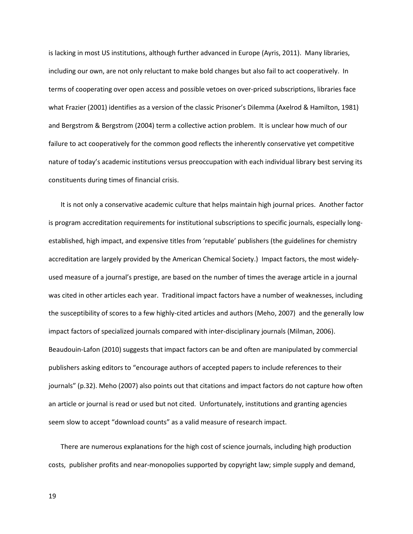is lacking in most US institutions, although further advanced in Europe (Ayris, 2011). Many libraries, including our own, are not only reluctant to make bold changes but also fail to act cooperatively. In terms of cooperating over open access and possible vetoes on over-priced subscriptions, libraries face what Frazier (2001) identifies as a version of the classic Prisoner's Dilemma (Axelrod & Hamilton, 1981) and Bergstrom & Bergstrom (2004) term a collective action problem. It is unclear how much of our failure to act cooperatively for the common good reflects the inherently conservative yet competitive nature of today's academic institutions versus preoccupation with each individual library best serving its constituents during times of financial crisis.

It is not only a conservative academic culture that helps maintain high journal prices. Another factor is program accreditation requirements for institutional subscriptions to specific journals, especially longestablished, high impact, and expensive titles from 'reputable' publishers (the guidelines for chemistry accreditation are largely provided by the American Chemical Society.) Impact factors, the most widelyused measure of a journal's prestige, are based on the number of times the average article in a journal was cited in other articles each year. Traditional impact factors have a number of weaknesses, including the susceptibility of scores to a few highly-cited articles and authors (Meho, 2007) and the generally low impact factors of specialized journals compared with inter-disciplinary journals (Milman, 2006). Beaudouin-Lafon (2010) suggests that impact factors can be and often are manipulated by commercial publishers asking editors to "encourage authors of accepted papers to include references to their journals" (p.32). Meho (2007) also points out that citations and impact factors do not capture how often an article or journal is read or used but not cited. Unfortunately, institutions and granting agencies seem slow to accept "download counts" as a valid measure of research impact.

There are numerous explanations for the high cost of science journals, including high production costs, publisher profits and near-monopolies supported by copyright law; simple supply and demand,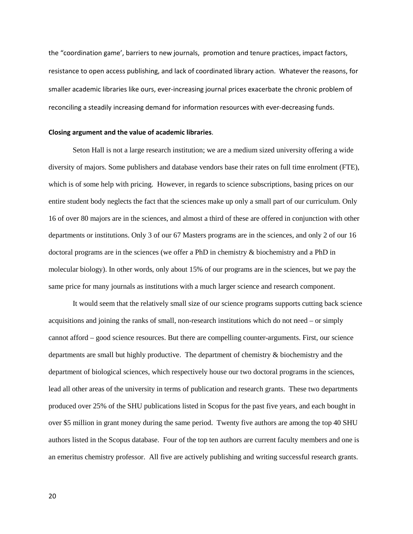the "coordination game', barriers to new journals, promotion and tenure practices, impact factors, resistance to open access publishing, and lack of coordinated library action. Whatever the reasons, for smaller academic libraries like ours, ever-increasing journal prices exacerbate the chronic problem of reconciling a steadily increasing demand for information resources with ever-decreasing funds.

#### **Closing argument and the value of academic libraries**.

Seton Hall is not a large research institution; we are a medium sized university offering a wide diversity of majors. Some publishers and database vendors base their rates on full time enrolment (FTE), which is of some help with pricing. However, in regards to science subscriptions, basing prices on our entire student body neglects the fact that the sciences make up only a small part of our curriculum. Only 16 of over 80 majors are in the sciences, and almost a third of these are offered in conjunction with other departments or institutions. Only 3 of our 67 Masters programs are in the sciences, and only 2 of our 16 doctoral programs are in the sciences (we offer a PhD in chemistry & biochemistry and a PhD in molecular biology). In other words, only about 15% of our programs are in the sciences, but we pay the same price for many journals as institutions with a much larger science and research component.

It would seem that the relatively small size of our science programs supports cutting back science acquisitions and joining the ranks of small, non-research institutions which do not need – or simply cannot afford – good science resources. But there are compelling counter-arguments. First, our science departments are small but highly productive. The department of chemistry & biochemistry and the department of biological sciences, which respectively house our two doctoral programs in the sciences, lead all other areas of the university in terms of publication and research grants. These two departments produced over 25% of the SHU publications listed in Scopus for the past five years, and each bought in over \$5 million in grant money during the same period. Twenty five authors are among the top 40 SHU authors listed in the Scopus database. Four of the top ten authors are current faculty members and one is an emeritus chemistry professor. All five are actively publishing and writing successful research grants.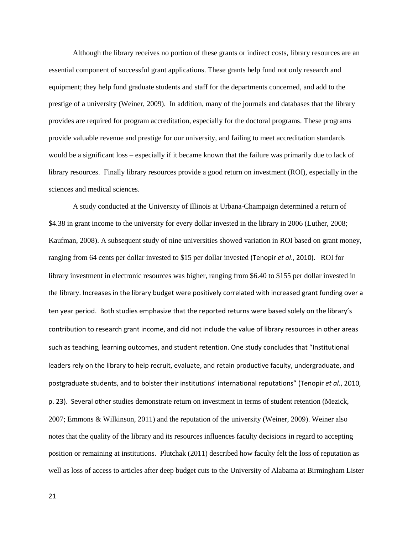Although the library receives no portion of these grants or indirect costs, library resources are an essential component of successful grant applications. These grants help fund not only research and equipment; they help fund graduate students and staff for the departments concerned, and add to the prestige of a university (Weiner, 2009). In addition, many of the journals and databases that the library provides are required for program accreditation, especially for the doctoral programs. These programs provide valuable revenue and prestige for our university, and failing to meet accreditation standards would be a significant loss – especially if it became known that the failure was primarily due to lack of library resources. Finally library resources provide a good return on investment (ROI), especially in the sciences and medical sciences.

A study conducted at the University of Illinois at Urbana-Champaign determined a return of \$4.38 in grant income to the university for every dollar invested in the library in 2006 (Luther, 2008; Kaufman, 2008). A subsequent study of nine universities showed variation in ROI based on grant money, ranging from 64 cents per dollar invested to \$15 per dollar invested (Tenopir *et al*., 2010). ROI for library investment in electronic resources was higher, ranging from \$6.40 to \$155 per dollar invested in the library. Increases in the library budget were positively correlated with increased grant funding over a ten year period. Both studies emphasize that the reported returns were based solely on the library's contribution to research grant income, and did not include the value of library resources in other areas such as teaching, learning outcomes, and student retention. One study concludes that "Institutional leaders rely on the library to help recruit, evaluate, and retain productive faculty, undergraduate, and postgraduate students, and to bolster their institutions' international reputations" (Tenopir *et al*., 2010, p. 23). Several other studies demonstrate return on investment in terms of student retention (Mezick, 2007; Emmons & Wilkinson, 2011) and the reputation of the university (Weiner, 2009). Weiner also notes that the quality of the library and its resources influences faculty decisions in regard to accepting position or remaining at institutions. Plutchak (2011) described how faculty felt the loss of reputation as well as loss of access to articles after deep budget cuts to the University of Alabama at Birmingham Lister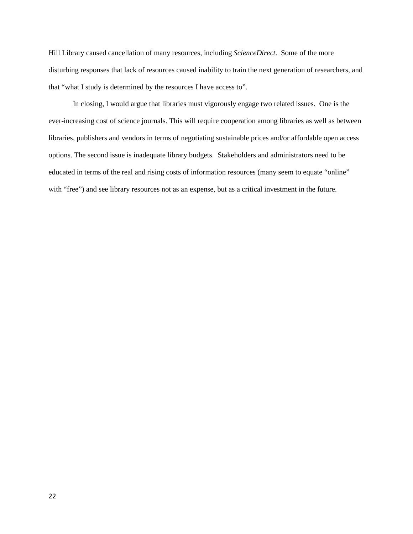Hill Library caused cancellation of many resources, including *ScienceDirect*. Some of the more disturbing responses that lack of resources caused inability to train the next generation of researchers, and that "what I study is determined by the resources I have access to".

In closing, I would argue that libraries must vigorously engage two related issues. One is the ever-increasing cost of science journals. This will require cooperation among libraries as well as between libraries, publishers and vendors in terms of negotiating sustainable prices and/or affordable open access options. The second issue is inadequate library budgets. Stakeholders and administrators need to be educated in terms of the real and rising costs of information resources (many seem to equate "online" with "free") and see library resources not as an expense, but as a critical investment in the future.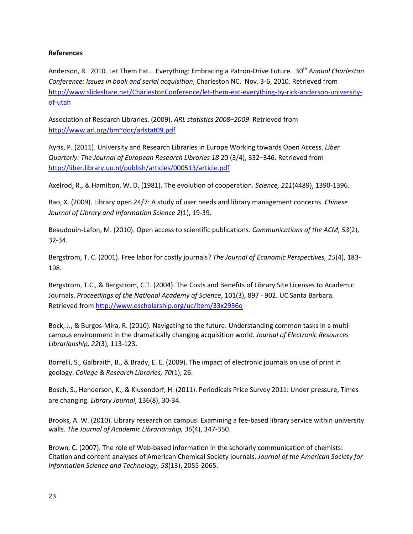## **References**

Anderson, R. 2010. Let Them Eat... Everything: Embracing a Patron-Drive Future. 30<sup>th</sup> Annual Charleston *Conference: Issues in book and serial acquisition*, Charleston NC. Nov. 3-6, 2010. Retrieved from [http://www.slideshare.net/CharlestonConference/let-them-eat-everything-by-rick-anderson-university](http://www.slideshare.net/CharlestonConference/let-them-eat-everything-by-rick-anderson-university-of-utah)[of-utah](http://www.slideshare.net/CharlestonConference/let-them-eat-everything-by-rick-anderson-university-of-utah)

Association of Research Libraries. (2009). *ARL statistics 2008–2009*. Retrieved from <http://www.arl.org/bm~doc/arlstat09.pdf>

Ayris, P. (2011). University and Research Libraries in Europe Working towards Open Access. *Liber Quarterly: The Journal of European Research Libraries 18* 20 (3/4), 332–346. Retrieved from <http://liber.library.uu.nl/publish/articles/000513/article.pdf>

Axelrod, R., & Hamilton, W. D. (1981). The evolution of cooperation. *Science, 211*(4489), 1390-1396.

Bao, X. (2009). Library open 24/7: A study of user needs and library management concerns. *Chinese Journal of Library and Information Science 2*(1), 19-39.

Beaudouin-Lafon, M. (2010). Open access to scientific publications. *Communications of the ACM, 53*(2), 32-34.

Bergstrom, T. C. (2001). Free labor for costly journals? *The Journal of Economic Perspectives, 15*(4), 183- 198.

Bergstrom, T.C., & Bergstrom, C.T. (2004). The Costs and Benefits of Library Site Licenses to Academic Journals. *Proceedings of the National Academy of Science*, 101(3), 897 - 902. UC Santa Barbara. Retrieved from<http://www.escholarship.org/uc/item/33x2936q>

Bock, J., & Burgos-Mira, R. (2010). Navigating to the future: Understanding common tasks in a multicampus environment in the dramatically changing acquisition world. *Journal of Electronic Resources Librarianship, 22*(3), 113-123.

Borrelli, S., Galbraith, B., & Brady, E. E. (2009). The impact of electronic journals on use of print in geology. *College & Research Libraries, 70*(1), 26.

Bosch, S., Henderson, K., & Klusendorf, H. (2011). Periodicals Price Survey 2011: Under pressure, Times are changing. *Library Journal*, 136(8), 30-34.

Brooks, A. W. (2010). Library research on campus: Examining a fee-based library service within university walls. *The Journal of Academic Librarianship, 36*(4), 347-350.

Brown, C. (2007). The role of Web-based information in the scholarly communication of chemists: Citation and content analyses of American Chemical Society journals. *Journal of the American Society for Information Science and Technology, 58*(13), 2055-2065.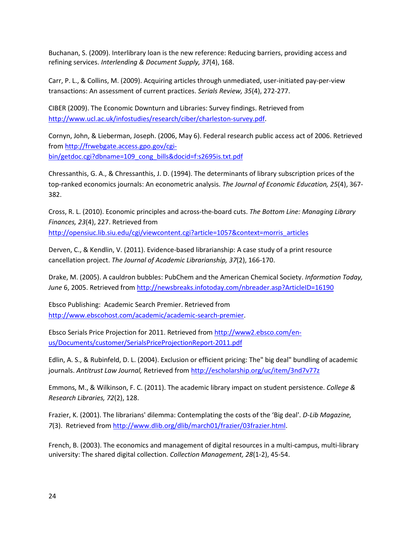Buchanan, S. (2009). Interlibrary loan is the new reference: Reducing barriers, providing access and refining services. *Interlending & Document Supply, 37*(4), 168.

Carr, P. L., & Collins, M. (2009). Acquiring articles through unmediated, user-initiated pay-per-view transactions: An assessment of current practices. *Serials Review, 35*(4), 272-277.

CIBER (2009). The Economic Downturn and Libraries: Survey findings. Retrieved from [http://www.ucl.ac.uk/infostudies/research/ciber/charleston-survey.pdf.](http://www.ucl.ac.uk/infostudies/research/ciber/charleston-survey.pdf)

Cornyn, John, & Lieberman, Joseph. (2006, May 6). Federal research public access act of 2006. Retrieved from [http://frwebgate.access.gpo.gov/cgi](http://frwebgate.access.gpo.gov/cgi-bin/getdoc.cgi?dbname=109_cong_bills&docid=f:s2695is.txt.pdf)[bin/getdoc.cgi?dbname=109\\_cong\\_bills&docid=f:s2695is.txt.pdf](http://frwebgate.access.gpo.gov/cgi-bin/getdoc.cgi?dbname=109_cong_bills&docid=f:s2695is.txt.pdf)

Chressanthis, G. A., & Chressanthis, J. D. (1994). The determinants of library subscription prices of the top-ranked economics journals: An econometric analysis. *The Journal of Economic Education, 25*(4), 367- 382.

Cross, R. L. (2010). Economic principles and across-the-board cuts. *The Bottom Line: Managing Library Finances, 23*(4), 227. Retrieved from [http://opensiuc.lib.siu.edu/cgi/viewcontent.cgi?article=1057&context=morris\\_articles](http://opensiuc.lib.siu.edu/cgi/viewcontent.cgi?article=1057&context=morris_articles)

Derven, C., & Kendlin, V. (2011). Evidence-based librarianship: A case study of a print resource cancellation project. *The Journal of Academic Librarianship, 37*(2), 166-170.

Drake, M. (2005). A cauldron bubbles: PubChem and the American Chemical Society. *Information Today, June* 6, 2005. Retrieved from<http://newsbreaks.infotoday.com/nbreader.asp?ArticleID=16190>

Ebsco Publishing: Academic Search Premier. Retrieved from [http://www.ebscohost.com/academic/academic-search-premier.](http://www.ebscohost.com/academic/academic-search-premier)

Ebsco Serials Price Projection for 2011. Retrieved from [http://www2.ebsco.com/en](http://www2.ebsco.com/en-us/Documents/customer/SerialsPriceProjectionReport-2011.pdf)[us/Documents/customer/SerialsPriceProjectionReport-2011.pdf](http://www2.ebsco.com/en-us/Documents/customer/SerialsPriceProjectionReport-2011.pdf)

Edlin, A. S., & Rubinfeld, D. L. (2004). Exclusion or efficient pricing: The" big deal" bundling of academic journals. *Antitrust Law Journal,* Retrieved from<http://escholarship.org/uc/item/3nd7v77z>

Emmons, M., & Wilkinson, F. C. (2011). The academic library impact on student persistence. *College & Research Libraries, 72*(2), 128.

Frazier, K. (2001). The librarians' dilemma: Contemplating the costs of the 'Big deal'. *D-Lib Magazine, 7*(3). Retrieved fro[m http://www.dlib.org/dlib/march01/frazier/03frazier.html.](http://www.dlib.org/dlib/march01/frazier/03frazier.html)

French, B. (2003). The economics and management of digital resources in a multi-campus, multi-library university: The shared digital collection. *Collection Management, 28*(1-2), 45-54.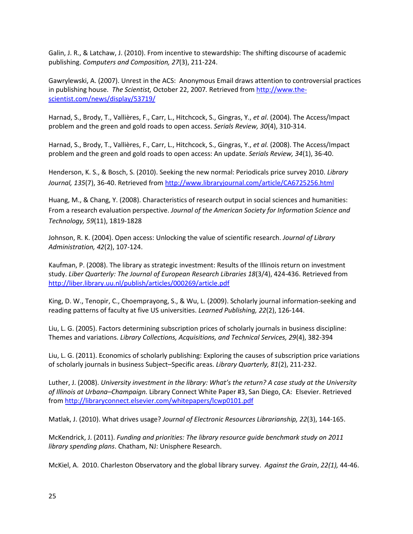Galin, J. R., & Latchaw, J. (2010). From incentive to stewardship: The shifting discourse of academic publishing. *Computers and Composition, 27*(3), 211-224.

Gawrylewski, A. (2007). Unrest in the ACS: Anonymous Email draws attention to controversial practices in publishing house. *The Scientist,* October 22, 2007*.* Retrieved from [http://www.the](http://www.the-scientist.com/news/display/53719/)[scientist.com/news/display/53719/](http://www.the-scientist.com/news/display/53719/)

Harnad, S., Brody, T., Vallières, F., Carr, L., Hitchcock, S., Gingras, Y., *et al*. (2004). The Access/Impact problem and the green and gold roads to open access. *Serials Review, 30*(4), 310-314.

Harnad, S., Brody, T., Vallières, F., Carr, L., Hitchcock, S., Gingras, Y., *et al.* (2008). The Access/Impact problem and the green and gold roads to open access: An update. *Serials Review, 34*(1), 36-40.

Henderson, K. S., & Bosch, S. (2010). Seeking the new normal: Periodicals price survey 2010. *Library Journal, 135*(7), 36-40. Retrieved fro[m http://www.libraryjournal.com/article/CA6725256.html](http://www.libraryjournal.com/article/CA6725256.html)

Huang, M., & Chang, Y. (2008). Characteristics of research output in social sciences and humanities: From a research evaluation perspective. *Journal of the American Society for Information Science and Technology, 59*(11), 1819-1828

Johnson, R. K. (2004). Open access: Unlocking the value of scientific research. *Journal of Library Administration, 42*(2), 107-124.

Kaufman, P. (2008). The library as strategic investment: Results of the Illinois return on investment study. *Liber Quarterly: The Journal of European Research Libraries 18*(3/4), 424-436. Retrieved from <http://liber.library.uu.nl/publish/articles/000269/article.pdf>

King, D. W., Tenopir, C., Choemprayong, S., & Wu, L. (2009). Scholarly journal information-seeking and reading patterns of faculty at five US universities. *Learned Publishing, 22*(2), 126-144.

Liu, L. G. (2005). Factors determining subscription prices of scholarly journals in business discipline: Themes and variations. *Library Collections, Acquisitions, and Technical Services, 29*(4), 382-394

Liu, L. G. (2011). Economics of scholarly publishing: Exploring the causes of subscription price variations of scholarly journals in business Subject–Specific areas. *Library Quarterly, 81*(2), 211-232.

Luther, J. (2008). *University investment in the library: What's the return? A case study at the University of Illinois at Urbana–Champaign.* Library Connect White Paper #3, San Diego, CA: Elsevier. Retrieved from<http://libraryconnect.elsevier.com/whitepapers/lcwp0101.pdf>

Matlak, J. (2010). What drives usage? *Journal of Electronic Resources Librarianship, 22*(3), 144-165.

McKendrick, J. (2011). *Funding and priorities: The library resource guide benchmark study on 2011 library spending plans*. Chatham, NJ: Unisphere Research.

McKiel, A. 2010. Charleston Observatory and the global library survey. *Against the Grain*, *22(1),* 44-46.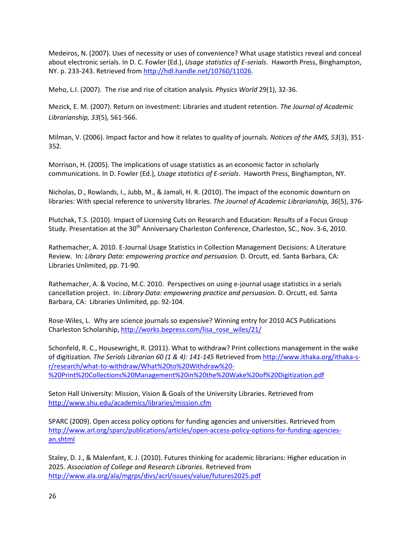Medeiros, N. (2007). Uses of necessity or uses of convenience? What usage statistics reveal and conceal about electronic serials. In D. C. Fowler (Ed.), *Usage statistics of E-serials*. Haworth Press, Binghampton, NY. p. 233-243. Retrieved from [http://hdl.handle.net/10760/11026.](http://hdl.handle.net/10760/11026)

Meho, L.I. (2007). The rise and rise of citation analysis. *Physics World* 29(1), 32-36.

Mezick, E. M. (2007). Return on investment: Libraries and student retention. *The Journal of Academic Librarianship, 33*(5), 561-566.

Milman, V. (2006). Impact factor and how it relates to quality of journals. *Notices of the AMS, 53*(3), 351- 352.

Morrison, H. (2005). The implications of usage statistics as an economic factor in scholarly communications. In D. Fowler (Ed.), *Usage statistics of E-serials*. Haworth Press, Binghampton, NY.

Nicholas, D., Rowlands, I., Jubb, M., & Jamali, H. R. (2010). The impact of the economic downturn on libraries: With special reference to university libraries. *The Journal of Academic Librarianship, 36*(5), 376-

Plutchak, T.S. (2010). Impact of Licensing Cuts on Research and Education: Results of a Focus Group Study. Presentation at the 30<sup>th</sup> Anniversary Charleston Conference, Charleston, SC., Nov. 3-6, 2010.

Rathemacher, A. 2010. E-Journal Usage Statistics in Collection Management Decisions: A Literature Review. In: *Library Data: empowering practice and persuasion.* D. Orcutt, ed. Santa Barbara, CA: Libraries Unlimited, pp. 71-90.

Rathemacher, A. & Vocino, M.C. 2010. Perspectives on using e-journal usage statistics in a serials cancellation project. In: *Library Data: empowering practice and persuasion.* D. Orcutt, ed. Santa Barbara, CA: Libraries Unlimited, pp. 92-104.

Rose-Wiles, L. Why are science journals so expensive? Winning entry for 2010 ACS Publications Charleston Scholarship, [http://works.bepress.com/lisa\\_rose\\_wiles/21/](http://works.bepress.com/lisa_rose_wiles/21/)

Schonfeld, R. C., Housewright, R. (2011). What to withdraw? Print collections management in the wake of digitization*. The Serials Librarian 60 (1 & 4): 141-145* Retrieved fro[m http://www.ithaka.org/ithaka-s](http://www.ithaka.org/ithaka-s-r/research/what-to-withdraw/What%20to%20Withdraw%20-%20Print%20Collections%20Management%20in%20the%20Wake%20of%20Digitization.pdf)[r/research/what-to-withdraw/What%20to%20Withdraw%20-](http://www.ithaka.org/ithaka-s-r/research/what-to-withdraw/What%20to%20Withdraw%20-%20Print%20Collections%20Management%20in%20the%20Wake%20of%20Digitization.pdf) [%20Print%20Collections%20Management%20in%20the%20Wake%20of%20Digitization.pdf](http://www.ithaka.org/ithaka-s-r/research/what-to-withdraw/What%20to%20Withdraw%20-%20Print%20Collections%20Management%20in%20the%20Wake%20of%20Digitization.pdf)

Seton Hall University: Mission, Vision & Goals of the University Libraries. Retrieved from <http://www.shu.edu/academics/libraries/mission.cfm>

SPARC (2009). Open access policy options for funding agencies and universities. Retrieved from [http://www.arl.org/sparc/publications/articles/open-access-policy-options-for-funding-agencies](http://www.arl.org/sparc/publications/articles/open-access-policy-options-for-funding-agencies-an.shtml)[an.shtml](http://www.arl.org/sparc/publications/articles/open-access-policy-options-for-funding-agencies-an.shtml)

Staley, D. J., & Malenfant, K. J. (2010). Futures thinking for academic librarians: Higher education in 2025. *Association of College and Research Libraries.* Retrieved from <http://www.ala.org/ala/mgrps/divs/acrl/issues/value/futures2025.pdf>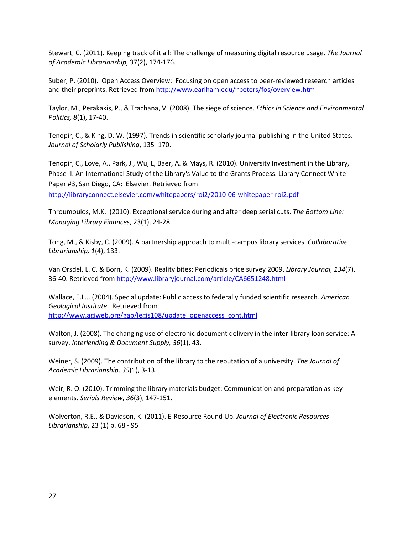Stewart, C. (2011). Keeping track of it all: The challenge of measuring digital resource usage. *The Journal of Academic Librarianship*, 37(2), 174-176.

Suber, P. (2010). Open Access Overview: Focusing on open access to peer-reviewed research articles and their preprints. Retrieved from<http://www.earlham.edu/~peters/fos/overview.htm>

Taylor, M., Perakakis, P., & Trachana, V. (2008). The siege of science. *Ethics in Science and Environmental Politics, 8*(1), 17-40.

Tenopir, C., & King, D. W. (1997). Trends in scientific scholarly journal publishing in the United States. *Journal of Scholarly Publishing*, 135–170.

Tenopir, C., Love, A., Park, J., Wu, L, Baer, A. & Mays, R. (2010). University Investment in the Library, Phase II: An International Study of the Library's Value to the Grants Process. Library Connect White Paper #3, San Diego, CA: Elsevier. Retrieved from

[http://libraryconnect.elsevier.com/whitepapers/roi2/2010-06-whitepaper-roi2.pdf](https://mail.shu.edu/owa/redir.aspx?C=4bc1951ee6d34ca0a8e75333dd84c3de&URL=http%3a%2f%2flibraryconnect.elsevier.com%2fwhitepapers%2froi2%2f2010-06-whitepaper-roi2.pdf)

Throumoulos, M.K. (2010). Exceptional service during and after deep serial cuts. *The Bottom Line: Managing Library Finances*, 23(1), 24-28.

Tong, M., & Kisby, C. (2009). A partnership approach to multi-campus library services. *Collaborative Librarianship, 1*(4), 133.

Van Orsdel, L. C. & Born, K. (2009). Reality bites: Periodicals price survey 2009. *Library Journal, 134*(7), 36-40. Retrieved from<http://www.libraryjournal.com/article/CA6651248.html>

Wallace, E.L... (2004). Special update: Public access to federally funded scientific research*. American Geological Institute*. Retrieved from [http://www.agiweb.org/gap/legis108/update\\_openaccess\\_cont.html](http://www.agiweb.org/gap/legis108/update_openaccess_cont.html)

Walton, J. (2008). The changing use of electronic document delivery in the inter-library loan service: A survey. *Interlending & Document Supply, 36*(1), 43.

Weiner, S. (2009). The contribution of the library to the reputation of a university. *The Journal of Academic Librarianship, 35*(1), 3-13.

Weir, R. O. (2010). Trimming the library materials budget: Communication and preparation as key elements. *Serials Review, 36*(3), 147-151.

Wolverton, R.E., & Davidson, K. (2011). E-Resource Round Up. *Journal of Electronic Resources Librarianship*, 23 (1) p. 68 - 95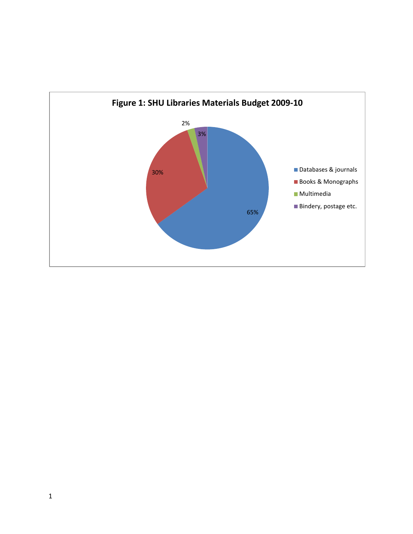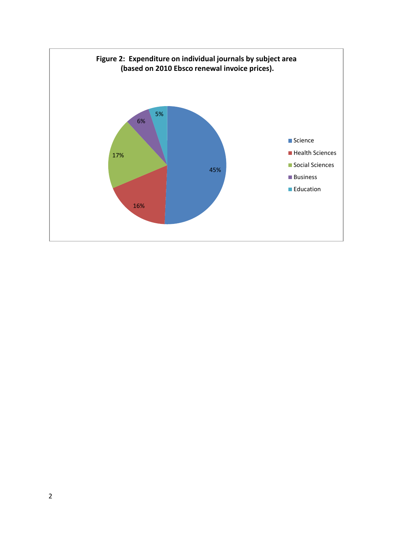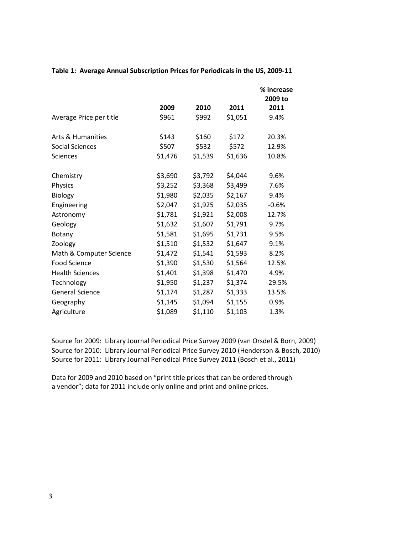|                         |         |         |         | % increase<br>2009 to |
|-------------------------|---------|---------|---------|-----------------------|
|                         | 2009    | 2010    | 2011    | 2011                  |
| Average Price per title | \$961   | \$992   | \$1,051 | 9.4%                  |
| Arts & Humanities       | \$143   | \$160   | \$172   | 20.3%                 |
| <b>Social Sciences</b>  | \$507   | \$532   | \$572   | 12.9%                 |
| Sciences                | \$1,476 | \$1,539 | \$1,636 | 10.8%                 |
| Chemistry               | \$3,690 | \$3,792 | \$4,044 | 9.6%                  |
| Physics                 | \$3,252 | \$3,368 | \$3,499 | 7.6%                  |
| Biology                 | \$1,980 | \$2,035 | \$2,167 | 9.4%                  |
| Engineering             | \$2,047 | \$1,925 | \$2,035 | $-0.6%$               |
| Astronomy               | \$1,781 | \$1,921 | \$2,008 | 12.7%                 |
| Geology                 | \$1,632 | \$1,607 | \$1,791 | 9.7%                  |
| Botany                  | \$1,581 | \$1,695 | \$1,731 | 9.5%                  |
| Zoology                 | \$1,510 | \$1,532 | \$1,647 | 9.1%                  |
| Math & Computer Science | \$1,472 | \$1,541 | \$1,593 | 8.2%                  |
| Food Science            | \$1,390 | \$1,530 | \$1,564 | 12.5%                 |
| <b>Health Sciences</b>  | \$1,401 | \$1,398 | \$1,470 | 4.9%                  |
| Technology              | \$1,950 | \$1,237 | \$1,374 | $-29.5%$              |
| <b>General Science</b>  | \$1,174 | \$1,287 | \$1,333 | 13.5%                 |
| Geography               | \$1,145 | \$1,094 | \$1,155 | 0.9%                  |
| Agriculture             | \$1,089 | \$1,110 | \$1,103 | 1.3%                  |

**Table 1: Average Annual Subscription Prices for Periodicals in the US, 2009-11**

Source for 2009: Library Journal Periodical Price Survey 2009 (van Orsdel & Born, 2009) Source for 2010: Library Journal Periodical Price Survey 2010 (Henderson & Bosch, 2010) Source for 2011: Library Journal Periodical Price Survey 2011 (Bosch et al., 2011)

Data for 2009 and 2010 based on "print title prices that can be ordered through a vendor"; data for 2011 include only online and print and online prices.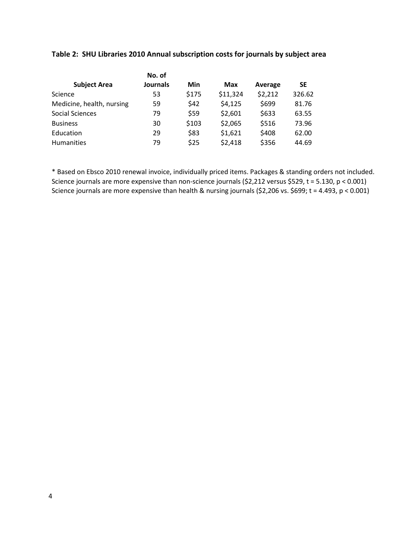| No. of                    |                 |       |            |         |           |  |
|---------------------------|-----------------|-------|------------|---------|-----------|--|
| <b>Subject Area</b>       | <b>Journals</b> | Min   | <b>Max</b> | Average | <b>SE</b> |  |
| Science                   | 53              | \$175 | \$11,324   | \$2,212 | 326.62    |  |
| Medicine, health, nursing | 59              | \$42  | \$4,125    | \$699   | 81.76     |  |
| <b>Social Sciences</b>    | 79              | \$59  | \$2,601    | \$633   | 63.55     |  |
| <b>Business</b>           | 30              | \$103 | \$2,065    | \$516   | 73.96     |  |
| Education                 | 29              | \$83  | \$1,621    | \$408   | 62.00     |  |
| Humanities                | 79              | \$25  | \$2,418    | \$356   | 44.69     |  |

## **Table 2: SHU Libraries 2010 Annual subscription costs for journals by subject area**

\* Based on Ebsco 2010 renewal invoice, individually priced items. Packages & standing orders not included. Science journals are more expensive than non-science journals (\$2,212 versus \$529, t = 5.130, p < 0.001) Science journals are more expensive than health & nursing journals (\$2,206 vs. \$699; t = 4.493, p < 0.001)